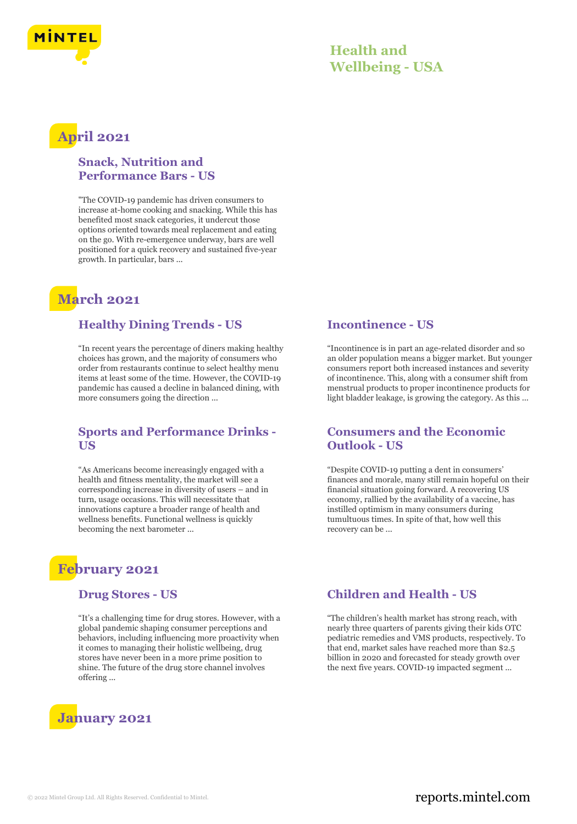

### **Health and Wellbeing - USA**

# **April 2021**

### **Snack, Nutrition and Performance Bars - US**

"The COVID-19 pandemic has driven consumers to increase at-home cooking and snacking. While this has benefited most snack categories, it undercut those options oriented towards meal replacement and eating on the go. With re-emergence underway, bars are well positioned for a quick recovery and sustained five-year growth. In particular, bars ...

# **March 2021**

### **Healthy Dining Trends - US**

"In recent years the percentage of diners making healthy choices has grown, and the majority of consumers who order from restaurants continue to select healthy menu items at least some of the time. However, the COVID-19 pandemic has caused a decline in balanced dining, with more consumers going the direction ...

### **Sports and Performance Drinks - US**

"As Americans become increasingly engaged with a health and fitness mentality, the market will see a corresponding increase in diversity of users – and in turn, usage occasions. This will necessitate that innovations capture a broader range of health and wellness benefits. Functional wellness is quickly becoming the next barometer ...

# **February 2021**

#### **Drug Stores - US**

"It's a challenging time for drug stores. However, with a global pandemic shaping consumer perceptions and behaviors, including influencing more proactivity when it comes to managing their holistic wellbeing, drug stores have never been in a more prime position to shine. The future of the drug store channel involves offering ...

# **January 2021**

#### **Incontinence - US**

"Incontinence is in part an age-related disorder and so an older population means a bigger market. But younger consumers report both increased instances and severity of incontinence. This, along with a consumer shift from menstrual products to proper incontinence products for light bladder leakage, is growing the category. As this ...

#### **Consumers and the Economic Outlook - US**

"Despite COVID-19 putting a dent in consumers' finances and morale, many still remain hopeful on their financial situation going forward. A recovering US economy, rallied by the availability of a vaccine, has instilled optimism in many consumers during tumultuous times. In spite of that, how well this recovery can be ...

### **Children and Health - US**

"The children's health market has strong reach, with nearly three quarters of parents giving their kids OTC pediatric remedies and VMS products, respectively. To that end, market sales have reached more than \$2.5 billion in 2020 and forecasted for steady growth over the next five years. COVID-19 impacted segment ...

### © 2022 Mintel Group Ltd. All Rights Reserved. Confidential to Mintel.  $\blacksquare$  reports.mintel.com